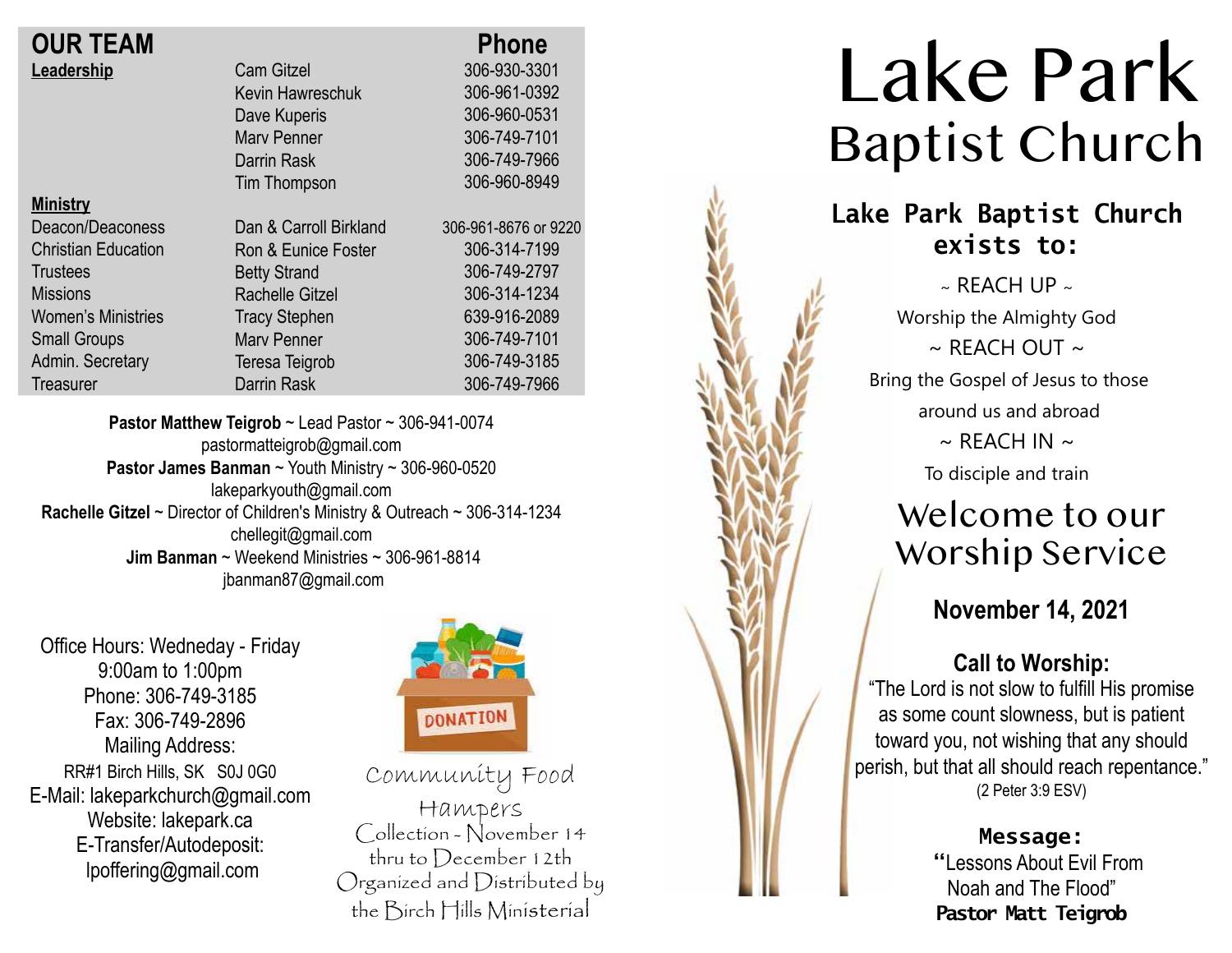| <b>OUR TEAM</b> |  |
|-----------------|--|
| Leadership      |  |

| <b>OUR TEAM</b>            |                        | <b>Phone</b>      |
|----------------------------|------------------------|-------------------|
| Leadership                 | <b>Cam Gitzel</b>      | 306-930-3301      |
|                            | Kevin Hawreschuk       | 306-961-0392      |
|                            | Dave Kuperis           | 306-960-0531      |
|                            | <b>Mary Penner</b>     | 306-749-7101      |
|                            | Darrin Rask            | 306-749-7966      |
|                            | Tim Thompson           | 306-960-8949      |
| <b>Ministry</b>            |                        |                   |
| Deacon/Deaconess           | Dan & Carroll Birkland | 306-961-8676 or 9 |
| <b>Christian Education</b> | Ron & Eunice Foster    | 306-314-7199      |
| <b>Trustees</b>            | <b>Betty Strand</b>    | 306-749-2797      |
| <b>Missions</b>            | <b>Rachelle Gitzel</b> | 306-314-1234      |
| <b>Women's Ministries</b>  | <b>Tracy Stephen</b>   | 639-916-2089      |
| <b>Small Groups</b>        | <b>Mary Penner</b>     | 306-749-7101      |
| Admin. Secretary           | Teresa Teigrob         | 306-749-3185      |
| Treasurer                  | Darrin Rask            | 306-749-7966      |
|                            |                        |                   |

**Pastor Matthew Teigrob** ~ Lead Pastor ~ 306-941-0074 pastormatteigrob@gmail.com **Pastor James Banman** ~ Youth Ministry ~ 306-960-0520 lakeparkyouth@gmail.com **Rachelle Gitzel** ~ Director of Children's Ministry & Outreach ~ 306-314-1234 chellegit@gmail.com  **Jim Banman** ~ Weekend Ministries ~ 306-961-8814 jbanman87@gmail.com

Office Hours: Wedneday - Friday 9:00am to 1:00pm Phone: 306-749-3185 Fax: 306-749-2896 Mailing Address: RR#1 Birch Hills, SK S0J 0G0 E-Mail: lakeparkchurch@gmail.com Website: lakepark.ca E-Transfer/Autodeposit: lpoffering@gmail.com



220

Community Food Hampers Collection - November 14 thru to December 12th Organized and Distributed by the Birch Hills Ministerial